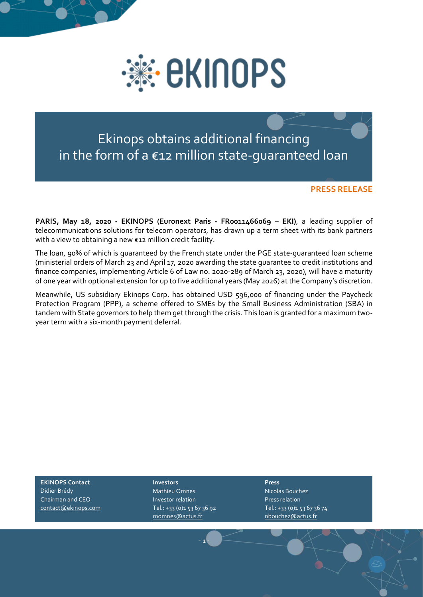

Ekinops obtains additional financing in the form of a €12 million state-guaranteed loan

## **PRESS RELEASE**

**PARIS, May 18, 2020 - [EKINOPS](https://www.ekinops.com/fr/) (Euronext Paris - FR0011466069 – EKI)**, a leading supplier of telecommunications solutions for telecom operators, has drawn up a term sheet with its bank partners with a view to obtaining a new €12 million credit facility.

The loan, 90% of which is guaranteed by the French state under the PGE state-guaranteed loan scheme (ministerial orders of March 23 and April 17, 2020 awarding the state guarantee to credit institutions and finance companies, implementing Article 6 of Law no. 2020-289 of March 23, 2020), will have a maturity of one year with optional extension for up to five additional years (May 2026) at the Company's discretion.

Meanwhile, US subsidiary Ekinops Corp. has obtained USD 596,000 of financing under the Paycheck Protection Program (PPP), a scheme offered to SMEs by the Small Business Administration (SBA) in tandem with State governors to help them get through the crisis. This loan is granted for a maximum twoyear term with a six-month payment deferral.

**EKINOPS Contact** Didier Brédy Chairman and CEO [contact@ekinops.com](mailto:contact@ekinops.com)

## **Investors**

Mathieu Omnes Investor relation Tel.: +33 (0)1 53 67 36 92 [momnes@actus.fr](mailto:momnes@actus.fr)

- 1 -

**Press** Nicolas Bouchez Press relation Tel.: +33 (0)1 53 67 36 74 [nbouchez@actus.fr](mailto:nbouchez@actus.fr)